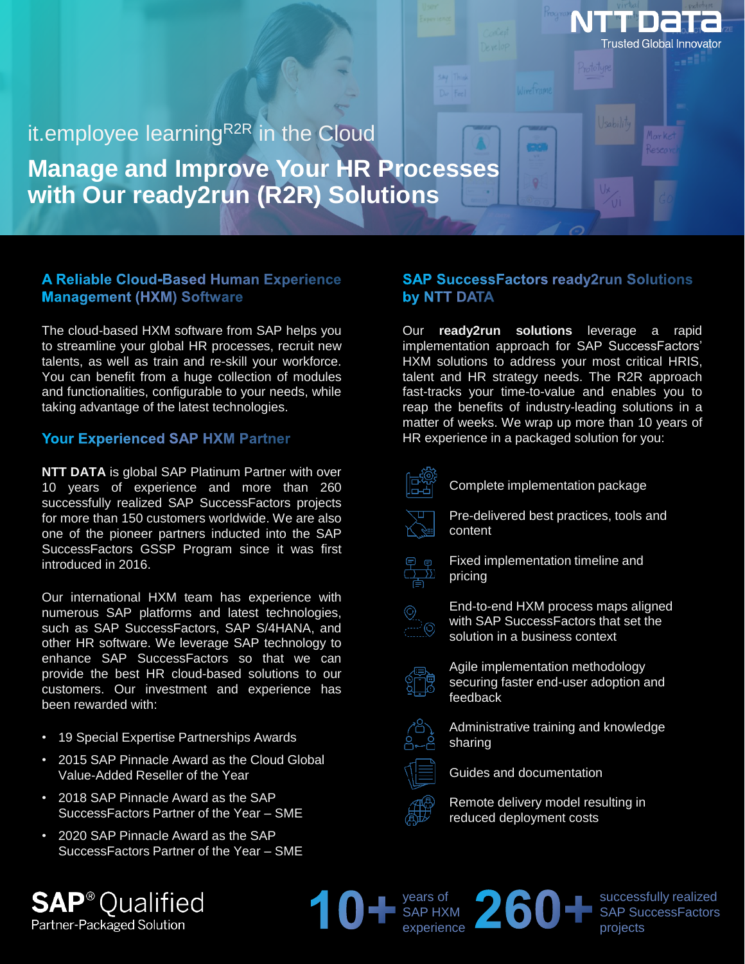# it.employee learning<sup>R2R</sup> in the Cloud **Manage and Improve Your HR Processes with Our ready2run (R2R) Solutions**

## **A Reliable Cloud-Based Human Experience Management (HXM) Software**

The cloud-based HXM software from SAP helps you to streamline your global HR processes, recruit new talents, as well as train and re-skill your workforce. You can benefit from a huge collection of modules and functionalities, configurable to your needs, while taking advantage of the latest technologies.

#### **Your Experienced SAP HXM Partner**

**NTT DATA** is global SAP Platinum Partner with over 10 years of experience and more than 260 successfully realized SAP SuccessFactors projects for more than 150 customers worldwide. We are also one of the pioneer partners inducted into the SAP SuccessFactors GSSP Program since it was first introduced in 2016.

Our international HXM team has experience with numerous SAP platforms and latest technologies, such as SAP SuccessFactors, SAP S/4HANA, and other HR software. We leverage SAP technology to enhance SAP SuccessFactors so that we can provide the best HR cloud-based solutions to our customers. Our investment and experience has been rewarded with:

- 19 Special Expertise Partnerships Awards
- 2015 SAP Pinnacle Award as the Cloud Global Value-Added Reseller of the Year
- 2018 SAP Pinnacle Award as the SAP SuccessFactors Partner of the Year – SME
- 2020 SAP Pinnacle Award as the SAP SuccessFactors Partner of the Year – SME

ialified

Partner-Packaged Solution

## **SAP SuccessFactors ready2run Solutions** by NTT DATA

Trusted Global Innovator

Our **ready2run solutions** leverage a rapid implementation approach for SAP SuccessFactors' HXM solutions to address your most critical HRIS, talent and HR strategy needs. The R2R approach fast-tracks your time-to-value and enables you to reap the benefits of industry-leading solutions in a matter of weeks. We wrap up more than 10 years of HR experience in a packaged solution for you:



Complete implementation package

Pre-delivered best practices, tools and content



Fixed implementation timeline and pricing



End-to-end HXM process maps aligned with SAP SuccessFactors that set the solution in a business context



Agile implementation methodology securing faster end-user adoption and feedback



Administrative training and knowledge sharing



Guides and documentation

Remote delivery model resulting in reduced deployment costs